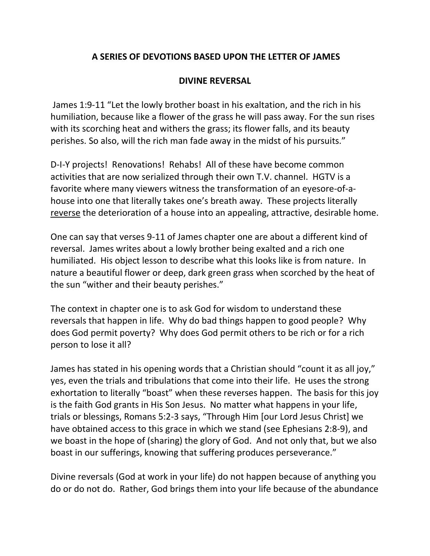## **A SERIES OF DEVOTIONS BASED UPON THE LETTER OF JAMES**

## **DIVINE REVERSAL**

James 1:9-11 "Let the lowly brother boast in his exaltation, and the rich in his humiliation, because like a flower of the grass he will pass away. For the sun rises with its scorching heat and withers the grass; its flower falls, and its beauty perishes. So also, will the rich man fade away in the midst of his pursuits."

D-I-Y projects! Renovations! Rehabs! All of these have become common activities that are now serialized through their own T.V. channel. HGTV is a favorite where many viewers witness the transformation of an eyesore-of-ahouse into one that literally takes one's breath away. These projects literally reverse the deterioration of a house into an appealing, attractive, desirable home.

One can say that verses 9-11 of James chapter one are about a different kind of reversal. James writes about a lowly brother being exalted and a rich one humiliated. His object lesson to describe what this looks like is from nature. In nature a beautiful flower or deep, dark green grass when scorched by the heat of the sun "wither and their beauty perishes."

The context in chapter one is to ask God for wisdom to understand these reversals that happen in life. Why do bad things happen to good people? Why does God permit poverty? Why does God permit others to be rich or for a rich person to lose it all?

James has stated in his opening words that a Christian should "count it as all joy," yes, even the trials and tribulations that come into their life. He uses the strong exhortation to literally "boast" when these reverses happen. The basis for this joy is the faith God grants in His Son Jesus. No matter what happens in your life, trials or blessings, Romans 5:2-3 says, "Through Him [our Lord Jesus Christ] we have obtained access to this grace in which we stand (see Ephesians 2:8-9), and we boast in the hope of (sharing) the glory of God. And not only that, but we also boast in our sufferings, knowing that suffering produces perseverance."

Divine reversals (God at work in your life) do not happen because of anything you do or do not do. Rather, God brings them into your life because of the abundance